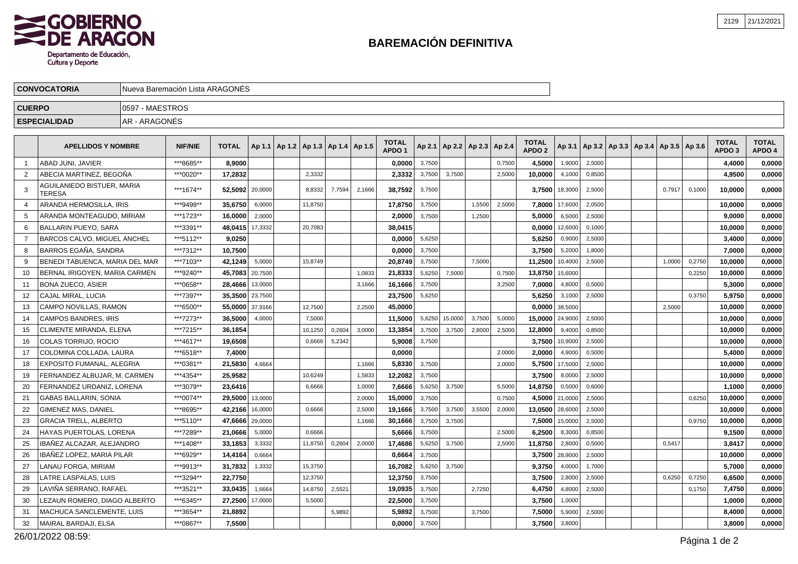## **BAREMACIÓN DEFINITIVA**

| <b>CUERPO</b><br>0597 - MAESTROS |                                      |               |                |                   |        |  |                                            |        |        |                                   |        |                |                                   |        |                                   |                  |                                                     |  |        |        |                                   |                        |
|----------------------------------|--------------------------------------|---------------|----------------|-------------------|--------|--|--------------------------------------------|--------|--------|-----------------------------------|--------|----------------|-----------------------------------|--------|-----------------------------------|------------------|-----------------------------------------------------|--|--------|--------|-----------------------------------|------------------------|
|                                  | <b>ESPECIALIDAD</b>                  | AR - ARAGONÉS |                |                   |        |  |                                            |        |        |                                   |        |                |                                   |        |                                   |                  |                                                     |  |        |        |                                   |                        |
|                                  | <b>APELLIDOS Y NOMBRE</b>            |               | <b>NIF/NIE</b> | <b>TOTAL</b>      |        |  | Ap 1.1   Ap 1.2   Ap 1.3   Ap 1.4   Ap 1.5 |        |        | <b>TOTAL</b><br>APDO <sub>1</sub> |        |                | Ap 2.1   Ap 2.2   Ap 2.3   Ap 2.4 |        | <b>TOTAL</b><br>APDO <sub>2</sub> |                  | Ap 3.1   Ap 3.2   Ap 3.3   Ap 3.4   Ap 3.5   Ap 3.6 |  |        |        | <b>TOTAL</b><br>APDO <sub>3</sub> | <b>TOTAL</b><br>APDO 4 |
|                                  | ABAD JUNI, JAVIER                    |               | ***8685**      | 8,9000            |        |  |                                            |        |        | 0,0000                            | 3,7500 |                |                                   | 0,7500 | 4,5000                            | 1,9000           | 2,5000                                              |  |        |        | 4.4000                            | 0,0000                 |
|                                  | ABECIA MARTINEZ, BEGOÑA              |               | ***0020**      | 17,2832           |        |  | 2,3332                                     |        |        | 2,3332                            | 3,7500 | 3,7500         |                                   | 2,5000 | 10,0000                           | 4,1000           | 0,8500                                              |  |        |        | 4,9500                            | 0,0000                 |
|                                  | AGUILANIEDO BISTUER, MARIA<br>TERESA |               | ***1674**      | 52,5092   20,0000 |        |  | 8,8332                                     | 7,7594 | 2,1666 | 38,7592                           | 3,7500 |                |                                   |        |                                   | 3,7500 18,3000   | 2,5000                                              |  | 0.7917 | 0,1000 | 10,0000                           | 0,0000                 |
|                                  | ARANDA HERMOSILLA, IRIS              |               | ***9499**      | 35,6750           | 6,0000 |  | 11,8750                                    |        |        | 17,8750                           | 3,7500 |                | 1,5500                            | 2,5000 | 7,8000                            | 17,6000          | 2,0500                                              |  |        |        | 10,0000                           | 0,0000                 |
|                                  | ARANDA MONTEAGUDO, MIRIAM            |               | ***1723**      | 16,0000           | 2,0000 |  |                                            |        |        | 2,0000                            | 3,7500 |                | 1,2500                            |        | 5,0000                            | 6,5000           | 2,5000                                              |  |        |        | 9,0000                            | 0,0000                 |
|                                  | BALLARIN PUEYO, SARA                 |               | ***3391**      | 48,0415 17,3332   |        |  | 20,7083                                    |        |        | 38,0415                           |        |                |                                   |        | 0,0000                            | 12,6000          | 0,1000                                              |  |        |        | 10,0000                           | 0,0000                 |
|                                  | BARCOS CALVO, MIGUEL ANCHEL          |               | ***5112**      | 9,0250            |        |  |                                            |        |        | 0,0000                            | 5,6250 |                |                                   |        | 5,6250                            | 0,9000           | 2,5000                                              |  |        |        | 3.4000                            | 0,0000                 |
|                                  | BARROS EGAÑA, SANDRA                 |               | ***7312**      | 10,7500           |        |  |                                            |        |        | 0,0000                            | 3,7500 |                |                                   |        | 3,7500                            | 5,2000           | 1,8000                                              |  |        |        | 7,0000                            | 0,0000                 |
|                                  | BENEDI TABUENCA, MARIA DEL MAR       |               | ***7103**      | 42,1249           | 5,0000 |  | 15.8749                                    |        |        | 20,8749                           | 3,7500 |                | 7,5000                            |        | 11,2500                           | 10,4000          | 2,5000                                              |  | 1,0000 | 0,2750 | 10,0000                           | 0,0000                 |
|                                  | BERNAL IRIGOYEN, MARIA CARMEN        |               | ***9240**      | 45,7083 20,7500   |        |  |                                            |        | 1,0833 | 21,8333                           | 5,6250 | 7,5000         |                                   | 0,7500 | 13,8750                           | 15,6000          |                                                     |  |        | 0,2250 | 10,0000                           | 0,0000                 |
|                                  | <b>BONA ZUECO, ASIER</b>             |               | ***0658**      | 28,4666 13,0000   |        |  |                                            |        | 3,1666 | 16,1666                           | 3,7500 |                |                                   | 3,2500 | 7,0000                            | 4,8000           | 0,5000                                              |  |        |        | 5,3000                            | 0,0000                 |
|                                  | <b>CAJAL MIRAL, LUCIA</b>            |               | ***7397**      | 35,3500 23,7500   |        |  |                                            |        |        | 23,7500                           | 5,6250 |                |                                   |        | 5,6250                            | 3,1000           | 2,5000                                              |  |        | 0,3750 | 5,9750                            | 0,0000                 |
| 13                               | CAMPO NOVILLAS, RAMON                |               | ***6500**      | 55,0000 37,9166   |        |  | 12,7500                                    |        | 2,2500 | 45,0000                           |        |                |                                   |        |                                   | $0,0000$ 38,5000 |                                                     |  | 2,5000 |        | 10,0000                           | 0,0000                 |
|                                  | CAMPOS BANDRES, IRIS                 |               | ***7273**      | 36.5000 4,0000    |        |  | 7.5000                                     |        |        | 11.5000                           |        | 5,6250 15,0000 | 3.7500                            | 5.0000 | 15.0000 24,9000                   |                  | 2.5000                                              |  |        |        | 10.0000                           | 0.0000                 |

|    |                                  | .         |                 |        | .       |        |        | -       |        |         |        |        | .               |                  |        |  |        |        | .       | -,---- |
|----|----------------------------------|-----------|-----------------|--------|---------|--------|--------|---------|--------|---------|--------|--------|-----------------|------------------|--------|--|--------|--------|---------|--------|
|    | BERNAL IRIGOYEN, MARIA CARMEN    | ***9240** | 45,7083 20,7500 |        |         |        | 1,0833 | 21,8333 | 5,6250 | 7.5000  |        | 0.7500 | 13,8750         | 15,6000          |        |  |        | 0.2250 | 10,0000 | 0,0000 |
|    | <b>BONA ZUECO, ASIER</b>         | ***0658** | 28,4666 13,0000 |        |         |        | 3,1666 | 16,1666 | 3,7500 |         |        | 3,2500 | 7,0000          | 4,8000           | 0,5000 |  |        |        | 5,3000  | 0,0000 |
|    | CAJAL MIRAL, LUCIA               | ***7397** | 35.3500 23,7500 |        |         |        |        | 23,7500 | 5,6250 |         |        |        | 5.6250          | 3,1000           | 2,5000 |  |        | 0,3750 | 5,9750  | 0.0000 |
|    | CAMPO NOVILLAS, RAMON            | ***6500** | 55.0000 37,9166 |        | 12.7500 |        | 2,2500 | 45,0000 |        |         |        |        |                 | $0,0000$ 38,5000 |        |  | 2,5000 |        | 10,0000 | 0,0000 |
|    | <b>CAMPOS BANDRES, IRIS</b>      | ***7273** | 36,5000         | 4,0000 | 7,5000  |        |        | 11,5000 | 5,6250 | 15,0000 | 3,7500 | 5,0000 | 15,0000 24,9000 |                  | 2,5000 |  |        |        | 10.0000 | 0.0000 |
| 15 | CLIMENTE MIRANDA, ELENA          | ***7215** | 36,1854         |        | 10,1250 | 0,2604 | 3,0000 | 13,3854 | 3,7500 | 3,7500  | 2,8000 | 2,5000 | 12,8000         | 9,4000           | 0,8500 |  |        |        | 10,0000 | 0,0000 |
| 16 | COLAS TORRIJO. ROCIO             | ***4617** | 19.6508         |        | 0,6666  | 5,2342 |        | 5,9008  | 3,7500 |         |        |        | 3,7500          | 10,9000          | 2,5000 |  |        |        | 10.0000 | 0,0000 |
|    | COLOMINA COLLADA. LAURA          | ***6518** | 7,4000          |        |         |        |        | 0.0000  |        |         |        | 2,0000 | 2,0000          | 4,9000           | 0,5000 |  |        |        | 5,4000  | 0.0000 |
| 18 | <b>EXPOSITO FUMANAL, ALEGRIA</b> | ***0381** | 21,5830         | 4,6664 |         |        | 1.1666 | 5,8330  | 3,7500 |         |        | 2,0000 | 5,7500          | 17,5000          | 2,5000 |  |        |        | 10,0000 | 0,0000 |
|    | FERNANDEZ ALBUJAR, M. CARMEN     | ***4354** | 25,9582         |        | 10,6249 |        | 1,5833 | 12,2082 | 3,7500 |         |        |        | 3.7500          | 8,0000           | 2,5000 |  |        |        | 10.0000 | 0,0000 |
|    | FERNANDEZ URDANIZ, LORENA        | ***3079** | 23,6416         |        | 6,6666  |        | 1,0000 | 7,6666  | 5,6250 | 3,7500  |        | 5,5000 | 14,8750         | 0,5000           | 0,6000 |  |        |        | 1,1000  | 0,0000 |
|    | <b>GABAS BALLARIN, SONIA</b>     | ***0074** | 29,5000 13,0000 |        |         |        | 2,0000 | 15,0000 | 3,7500 |         |        | 0,7500 |                 | 4,5000 21,0000   | 2,5000 |  |        | 0,6250 | 10,0000 | 0.0000 |
|    | <b>GIMENEZ MAS, DANIEL</b>       | ***8695** | 42.2166 16,0000 |        | 0.6666  |        | 2,5000 | 19.1666 | 3,7500 | 3,7500  | 3,5500 | 2,0000 | 13,0500         | 28,6000          | 2,5000 |  |        |        | 10.0000 | 0.0000 |
| 23 | <b>GRACIA TRELL, ALBERTO</b>     | ***5110** | 47,6666 29,0000 |        |         |        | 1,1666 | 30,1666 | 3,7500 | 3,7500  |        |        | 7,5000          | 15,0000          | 2,5000 |  |        | 0.9750 | 10,0000 | 0.0000 |
| 24 | HAYAS PUERTOLAS, LORENA          | ***7289** | 21,0666         | 5,0000 | 0.6666  |        |        | 5,6666  | 3,7500 |         |        | 2,5000 | 6,2500          | 8,3000           | 0,8500 |  |        |        | 9,1500  | 0,0000 |
| 25 | IBAÑEZ ALCAZAR, ALEJANDRO        | ***1408** | 33.1853         | 3,3332 | 11.8750 | 0,2604 | 2,0000 | 17,4686 | 5,6250 | 3,7500  |        | 2.5000 | 11,8750         | 2,8000           | 0.5000 |  | 0.5417 |        | 3,8417  | 0,0000 |
| 26 | IBAÑEZ LOPEZ. MARIA PILAR        | ***6929** | 14,4164         | 0,6664 |         |        |        | 0.6664  | 3,7500 |         |        |        | 3.7500          | 28,9000          | 2,5000 |  |        |        | 10.0000 | 0,0000 |
|    | LANAU FORGA, MIRIAM              | ***9913** | 31,7832         | 1,3332 | 15,3750 |        |        | 16,7082 | 5,6250 | 3,7500  |        |        | 9,3750          | 4,0000           | 1.7000 |  |        |        | 5,7000  | 0,0000 |
| 28 | LATRE LASPALAS. LUIS             | ***3294** | 22.7750         |        | 12.3750 |        |        | 12,3750 | 3.7500 |         |        |        | 3,7500          | 2,8000           | 2,5000 |  | 0,6250 | 0.7250 | 6,6500  | 0,0000 |
|    | LAVIÑA SERRANO. RAFAEL           | ***3521** | 33,0435         | 1,6664 | 14,8750 | 2,5521 |        | 19,0935 | 3,7500 |         | 2,7250 |        | 6,4750          | 4,8000           | 2,5000 |  |        | 0,1750 | 7,4750  | 0.0000 |
| 30 | LEZAUN ROMERO. DIAGO ALBERTO     | ***6345** | 27,2500 17,0000 |        | 5,5000  |        |        | 22,5000 | 3,7500 |         |        |        | 3,7500          | 1,0000           |        |  |        |        | 1,0000  | 0,0000 |
| 31 | MACHUCA SANCLEMENTE. LUIS        | ***3654** | 21,8892         |        |         | 5,9892 |        | 5,9892  | 3,7500 |         | 3,7500 |        | 7,5000          | 5,9000           | 2,5000 |  |        |        | 8,4000  | 0.0000 |
| 32 | <b>MAIRAL BARDAJI. ELSA</b>      | ***0867** | 7,5500          |        |         |        |        | 0,0000  | 3,7500 |         |        |        | 3,7500          | 3,8000           |        |  |        |        | 3,8000  | 0,0000 |
|    |                                  |           |                 |        |         |        |        |         |        |         |        |        |                 |                  |        |  |        |        |         |        |

26/01/2022 08:59:

**CONVOCATORIA**

SCOBIERNO<br>SOE ARAGON

Departamento de Educación, Cultura y Deporte

Nueva Baremación Lista ARAGONÉS